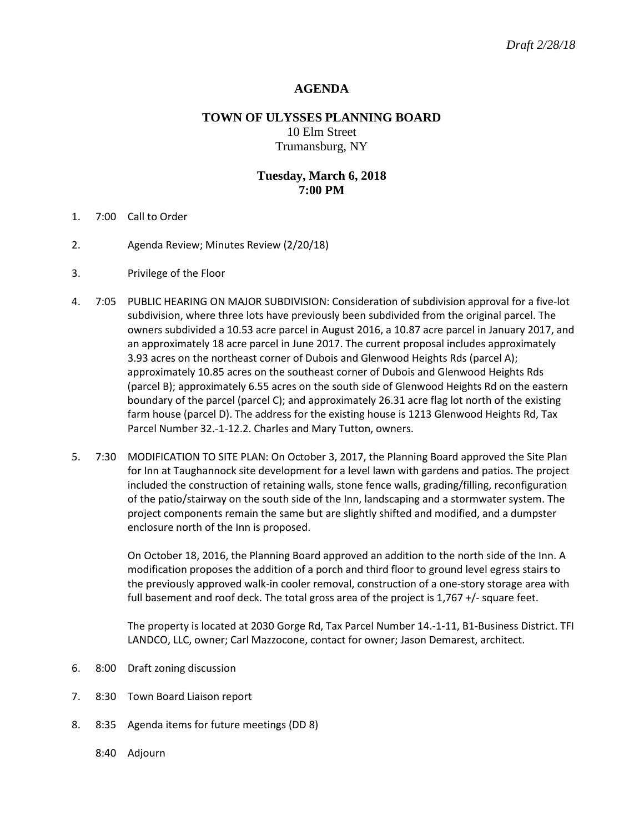## **AGENDA**

# **TOWN OF ULYSSES PLANNING BOARD** 10 Elm Street Trumansburg, NY

## **Tuesday, March 6, 2018 7:00 PM**

- 1. 7:00 Call to Order
- 2. Agenda Review; Minutes Review (2/20/18)
- 3. Privilege of the Floor
- 4. 7:05 PUBLIC HEARING ON MAJOR SUBDIVISION: Consideration of subdivision approval for a five-lot subdivision, where three lots have previously been subdivided from the original parcel. The owners subdivided a 10.53 acre parcel in August 2016, a 10.87 acre parcel in January 2017, and an approximately 18 acre parcel in June 2017. The current proposal includes approximately 3.93 acres on the northeast corner of Dubois and Glenwood Heights Rds (parcel A); approximately 10.85 acres on the southeast corner of Dubois and Glenwood Heights Rds (parcel B); approximately 6.55 acres on the south side of Glenwood Heights Rd on the eastern boundary of the parcel (parcel C); and approximately 26.31 acre flag lot north of the existing farm house (parcel D). The address for the existing house is 1213 Glenwood Heights Rd, Tax Parcel Number 32.-1-12.2. Charles and Mary Tutton, owners.
- 5. 7:30 MODIFICATION TO SITE PLAN: On October 3, 2017, the Planning Board approved the Site Plan for Inn at Taughannock site development for a level lawn with gardens and patios. The project included the construction of retaining walls, stone fence walls, grading/filling, reconfiguration of the patio/stairway on the south side of the Inn, landscaping and a stormwater system. The project components remain the same but are slightly shifted and modified, and a dumpster enclosure north of the Inn is proposed.

On October 18, 2016, the Planning Board approved an addition to the north side of the Inn. A modification proposes the addition of a porch and third floor to ground level egress stairs to the previously approved walk-in cooler removal, construction of a one-story storage area with full basement and roof deck. The total gross area of the project is 1,767 +/- square feet.

The property is located at 2030 Gorge Rd, Tax Parcel Number 14.-1-11, B1-Business District. TFI LANDCO, LLC, owner; Carl Mazzocone, contact for owner; Jason Demarest, architect.

- 6. 8:00 Draft zoning discussion
- 7. 8:30 Town Board Liaison report
- 8. 8:35 Agenda items for future meetings (DD 8)
	- 8:40 Adjourn